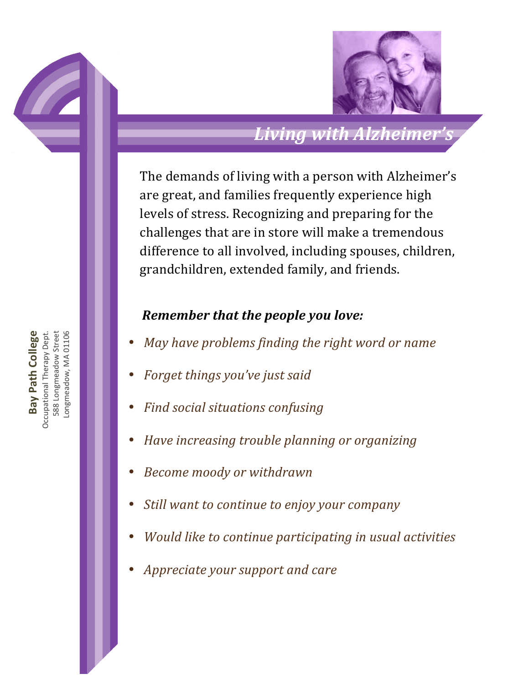

## *Living&with&Alzheimer's*

The demands of living with a person with Alzheimer's are great, and families frequently experience high levels of stress. Recognizing and preparing for the challenges that are in store will make a tremendous difference to all involved, including spouses, children, grandchildren, extended family, and friends.

#### **Remember that the people you love:**

- *May have problems finding the right word or name*
- Forget things you've just said
- *Find social situations confusing*
- *Have\$increasing\$trouble\$planning\$or\$organizing*
- **Become moody or withdrawn**
- Still want to continue to enjoy your company
- *Would like to continue participating in usual activities*
- Appreciate your support and care

Bay Path College **Bay Path College** Occupational!Therapy!Dept. 588 Longmeadow Street 588 Longmeadow Street Longmeadow, MA 01106 Occupational Therapy Dept .ongmeadow, MA 01106